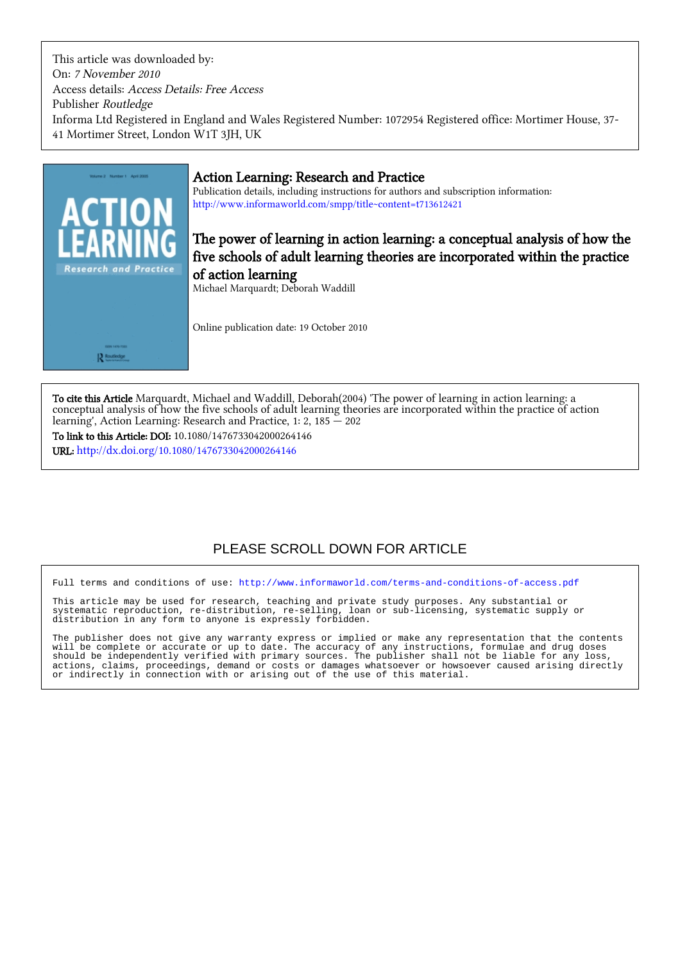This article was downloaded by: On: 7 November 2010 Access details: Access Details: Free Access Publisher Routledge Informa Ltd Registered in England and Wales Registered Number: 1072954 Registered office: Mortimer House, 37- 41 Mortimer Street, London W1T 3JH, UK



## Action Learning: Research and Practice

Publication details, including instructions for authors and subscription information: <http://www.informaworld.com/smpp/title~content=t713612421>

The power of learning in action learning: a conceptual analysis of how the five schools of adult learning theories are incorporated within the practice of action learning

Michael Marquardt; Deborah Waddill

Online publication date: 19 October 2010

To cite this Article Marquardt, Michael and Waddill, Deborah(2004) 'The power of learning in action learning: a conceptual analysis of how the five schools of adult learning theories are incorporated within the practice of action learning', Action Learning: Research and Practice, 1: 2, 185 — 202

To link to this Article: DOI: 10.1080/1476733042000264146 URL: <http://dx.doi.org/10.1080/1476733042000264146>

# PLEASE SCROLL DOWN FOR ARTICLE

Full terms and conditions of use:<http://www.informaworld.com/terms-and-conditions-of-access.pdf>

This article may be used for research, teaching and private study purposes. Any substantial or systematic reproduction, re-distribution, re-selling, loan or sub-licensing, systematic supply or distribution in any form to anyone is expressly forbidden.

The publisher does not give any warranty express or implied or make any representation that the contents will be complete or accurate or up to date. The accuracy of any instructions, formulae and drug doses should be independently verified with primary sources. The publisher shall not be liable for any loss, actions, claims, proceedings, demand or costs or damages whatsoever or howsoever caused arising directly or indirectly in connection with or arising out of the use of this material.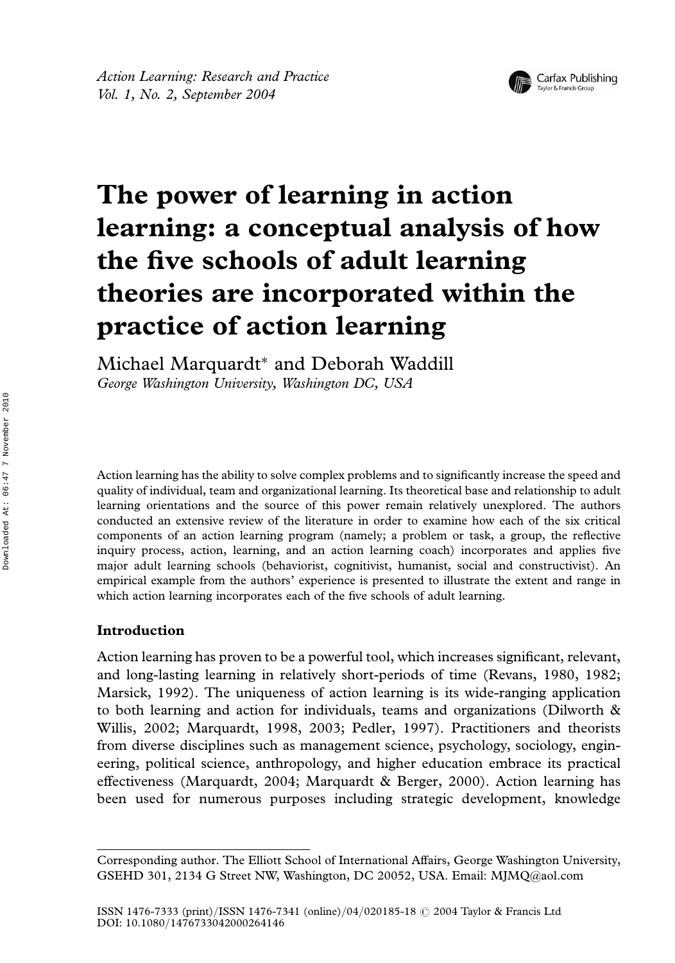

# The power of learning in action learning: a conceptual analysis of how the five schools of adult learning theories are incorporated within the practice of action learning

Michael Marquardt\* and Deborah Waddill George Washington University, Washington DC, USA

Action learning has the ability to solve complex problems and to significantly increase the speed and quality of individual, team and organizational learning. Its theoretical base and relationship to adult learning orientations and the source of this power remain relatively unexplored. The authors conducted an extensive review of the literature in order to examine how each of the six critical components of an action learning program (namely; a problem or task, a group, the reflective inquiry process, action, learning, and an action learning coach) incorporates and applies five major adult learning schools (behaviorist, cognitivist, humanist, social and constructivist). An empirical example from the authors' experience is presented to illustrate the extent and range in which action learning incorporates each of the five schools of adult learning.

### Introduction

Action learning has proven to be a powerful tool, which increases significant, relevant, and long-lasting learning in relatively short-periods of time (Revans, 1980, 1982; Marsick, 1992). The uniqueness of action learning is its wide-ranging application to both learning and action for individuals, teams and organizations (Dilworth & Willis, 2002; Marquardt, 1998, 2003; Pedler, 1997). Practitioners and theorists from diverse disciplines such as management science, psychology, sociology, engineering, political science, anthropology, and higher education embrace its practical effectiveness (Marquardt, 2004; Marquardt & Berger, 2000). Action learning has been used for numerous purposes including strategic development, knowledge

Corresponding author. The Elliott School of International Affairs, George Washington University, GSEHD 301, 2134 G Street NW, Washington, DC 20052, USA. Email: MJMQ@aol.com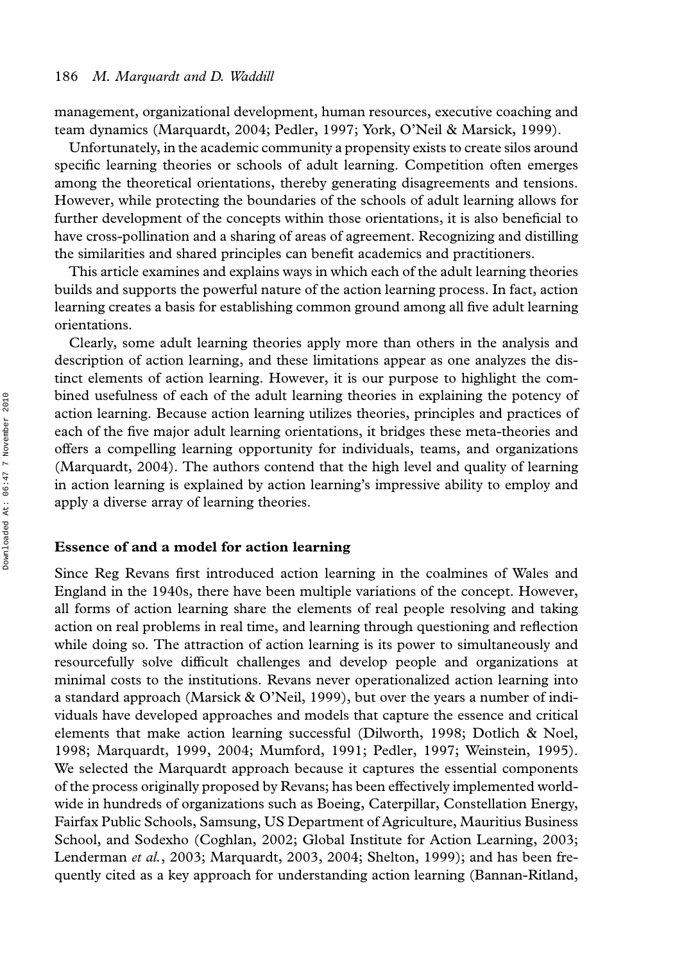management, organizational development, human resources, executive coaching and team dynamics (Marquardt, 2004; Pedler, 1997; York, O'Neil & Marsick, 1999).

Unfortunately, in the academic community a propensity exists to create silos around specific learning theories or schools of adult learning. Competition often emerges among the theoretical orientations, thereby generating disagreements and tensions. However, while protecting the boundaries of the schools of adult learning allows for further development of the concepts within those orientations, it is also beneficial to have cross-pollination and a sharing of areas of agreement. Recognizing and distilling the similarities and shared principles can benefit academics and practitioners.

This article examines and explains ways in which each of the adult learning theories builds and supports the powerful nature of the action learning process. In fact, action learning creates a basis for establishing common ground among all five adult learning orientations.

Clearly, some adult learning theories apply more than others in the analysis and description of action learning, and these limitations appear as one analyzes the distinct elements of action learning. However, it is our purpose to highlight the combined usefulness of each of the adult learning theories in explaining the potency of action learning. Because action learning utilizes theories, principles and practices of each of the five major adult learning orientations, it bridges these meta-theories and offers a compelling learning opportunity for individuals, teams, and organizations (Marquardt, 2004). The authors contend that the high level and quality of learning in action learning is explained by action learning's impressive ability to employ and apply a diverse array of learning theories.

#### Essence of and a model for action learning

Since Reg Revans first introduced action learning in the coalmines of Wales and England in the 1940s, there have been multiple variations of the concept. However, all forms of action learning share the elements of real people resolving and taking action on real problems in real time, and learning through questioning and reflection while doing so. The attraction of action learning is its power to simultaneously and resourcefully solve difficult challenges and develop people and organizations at minimal costs to the institutions. Revans never operationalized action learning into a standard approach (Marsick & O'Neil, 1999), but over the years a number of individuals have developed approaches and models that capture the essence and critical elements that make action learning successful (Dilworth, 1998; Dotlich & Noel, 1998; Marquardt, 1999, 2004; Mumford, 1991; Pedler, 1997; Weinstein, 1995). We selected the Marquardt approach because it captures the essential components of the process originally proposed by Revans; has been effectively implemented worldwide in hundreds of organizations such as Boeing, Caterpillar, Constellation Energy, Fairfax Public Schools, Samsung, US Department of Agriculture, Mauritius Business School, and Sodexho (Coghlan, 2002; Global Institute for Action Learning, 2003; Lenderman et al., 2003; Marquardt, 2003, 2004; Shelton, 1999); and has been frequently cited as a key approach for understanding action learning (Bannan-Ritland,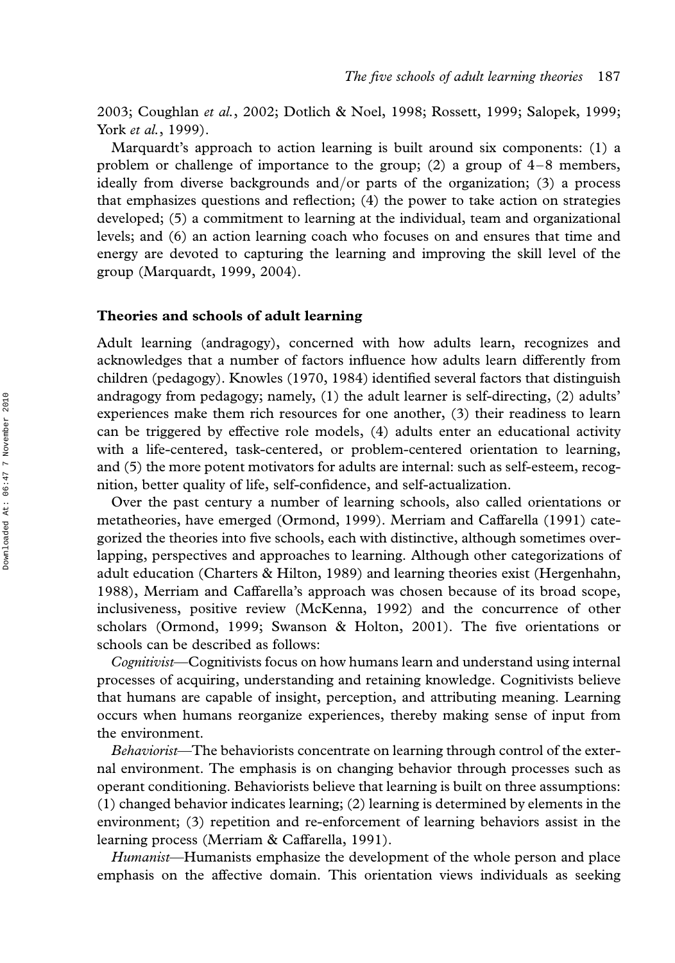2003; Coughlan et al., 2002; Dotlich & Noel, 1998; Rossett, 1999; Salopek, 1999; York et al., 1999).

Marquardt's approach to action learning is built around six components: (1) a problem or challenge of importance to the group; (2) a group of  $4-8$  members, ideally from diverse backgrounds and/or parts of the organization; (3) a process that emphasizes questions and reflection; (4) the power to take action on strategies developed; (5) a commitment to learning at the individual, team and organizational levels; and (6) an action learning coach who focuses on and ensures that time and energy are devoted to capturing the learning and improving the skill level of the group (Marquardt, 1999, 2004).

#### Theories and schools of adult learning

Adult learning (andragogy), concerned with how adults learn, recognizes and acknowledges that a number of factors influence how adults learn differently from children (pedagogy). Knowles (1970, 1984) identified several factors that distinguish andragogy from pedagogy; namely, (1) the adult learner is self-directing, (2) adults' experiences make them rich resources for one another, (3) their readiness to learn can be triggered by effective role models, (4) adults enter an educational activity with a life-centered, task-centered, or problem-centered orientation to learning, and (5) the more potent motivators for adults are internal: such as self-esteem, recognition, better quality of life, self-confidence, and self-actualization.

Over the past century a number of learning schools, also called orientations or metatheories, have emerged (Ormond, 1999). Merriam and Caffarella (1991) categorized the theories into five schools, each with distinctive, although sometimes overlapping, perspectives and approaches to learning. Although other categorizations of adult education (Charters & Hilton, 1989) and learning theories exist (Hergenhahn, 1988), Merriam and Caffarella's approach was chosen because of its broad scope, inclusiveness, positive review (McKenna, 1992) and the concurrence of other scholars (Ormond, 1999; Swanson & Holton, 2001). The five orientations or schools can be described as follows:

*Cognitivist*—Cognitivists focus on how humans learn and understand using internal processes of acquiring, understanding and retaining knowledge. Cognitivists believe that humans are capable of insight, perception, and attributing meaning. Learning occurs when humans reorganize experiences, thereby making sense of input from the environment.

Behaviorist—The behaviorists concentrate on learning through control of the external environment. The emphasis is on changing behavior through processes such as operant conditioning. Behaviorists believe that learning is built on three assumptions: (1) changed behavior indicates learning; (2) learning is determined by elements in the environment; (3) repetition and re-enforcement of learning behaviors assist in the learning process (Merriam & Caffarella, 1991).

*Humanist*—Humanists emphasize the development of the whole person and place emphasis on the affective domain. This orientation views individuals as seeking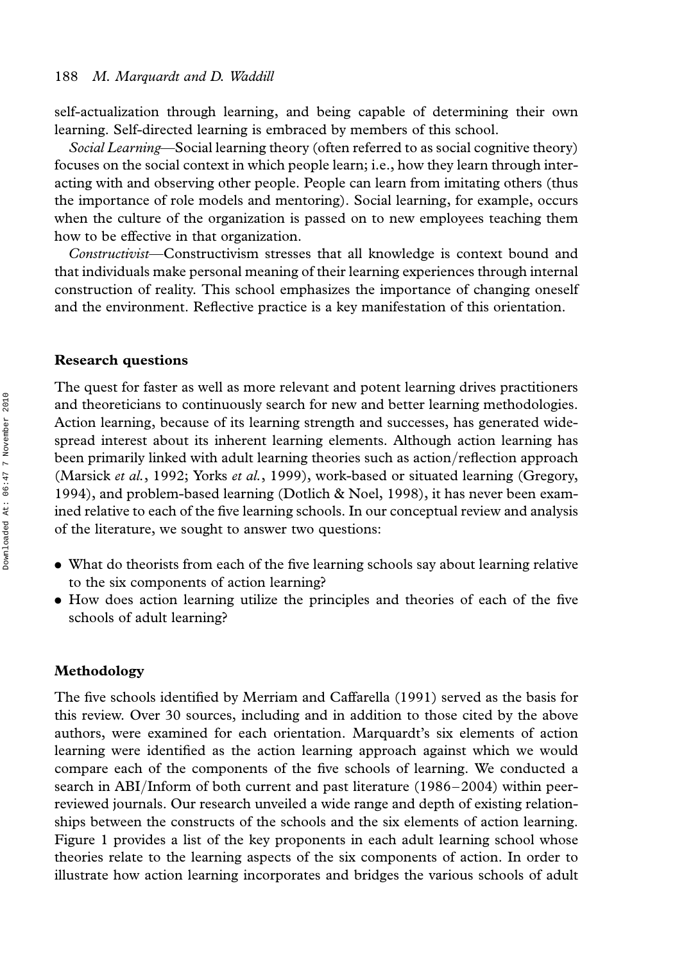self-actualization through learning, and being capable of determining their own learning. Self-directed learning is embraced by members of this school.

Social Learning—Social learning theory (often referred to as social cognitive theory) focuses on the social context in which people learn; i.e., how they learn through interacting with and observing other people. People can learn from imitating others (thus the importance of role models and mentoring). Social learning, for example, occurs when the culture of the organization is passed on to new employees teaching them how to be effective in that organization.

Constructivist—Constructivism stresses that all knowledge is context bound and that individuals make personal meaning of their learning experiences through internal construction of reality. This school emphasizes the importance of changing oneself and the environment. Reflective practice is a key manifestation of this orientation.

#### Research questions

The quest for faster as well as more relevant and potent learning drives practitioners and theoreticians to continuously search for new and better learning methodologies. Action learning, because of its learning strength and successes, has generated widespread interest about its inherent learning elements. Although action learning has been primarily linked with adult learning theories such as action/reflection approach (Marsick et al., 1992; Yorks et al., 1999), work-based or situated learning (Gregory, 1994), and problem-based learning (Dotlich & Noel, 1998), it has never been examined relative to each of the five learning schools. In our conceptual review and analysis of the literature, we sought to answer two questions:

- . What do theorists from each of the five learning schools say about learning relative to the six components of action learning?
- . How does action learning utilize the principles and theories of each of the five schools of adult learning?

#### Methodology

The five schools identified by Merriam and Caffarella (1991) served as the basis for this review. Over 30 sources, including and in addition to those cited by the above authors, were examined for each orientation. Marquardt's six elements of action learning were identified as the action learning approach against which we would compare each of the components of the five schools of learning. We conducted a search in ABI/Inform of both current and past literature (1986–2004) within peerreviewed journals. Our research unveiled a wide range and depth of existing relationships between the constructs of the schools and the six elements of action learning. Figure 1 provides a list of the key proponents in each adult learning school whose theories relate to the learning aspects of the six components of action. In order to illustrate how action learning incorporates and bridges the various schools of adult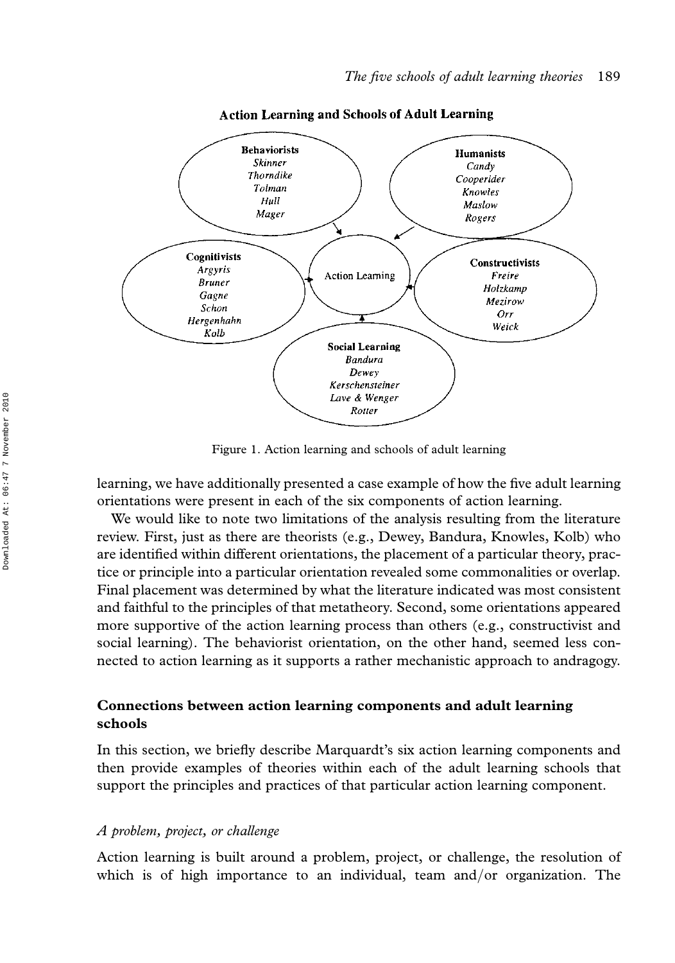

**Action Learning and Schools of Adult Learning** 

Figure 1. Action learning and schools of adult learning

learning, we have additionally presented a case example of how the five adult learning orientations were present in each of the six components of action learning.

We would like to note two limitations of the analysis resulting from the literature review. First, just as there are theorists (e.g., Dewey, Bandura, Knowles, Kolb) who are identified within different orientations, the placement of a particular theory, practice or principle into a particular orientation revealed some commonalities or overlap. Final placement was determined by what the literature indicated was most consistent and faithful to the principles of that metatheory. Second, some orientations appeared more supportive of the action learning process than others (e.g., constructivist and social learning). The behaviorist orientation, on the other hand, seemed less connected to action learning as it supports a rather mechanistic approach to andragogy.

#### Connections between action learning components and adult learning schools

In this section, we briefly describe Marquardt's six action learning components and then provide examples of theories within each of the adult learning schools that support the principles and practices of that particular action learning component.

#### A problem, project, or challenge

Action learning is built around a problem, project, or challenge, the resolution of which is of high importance to an individual, team and/or organization. The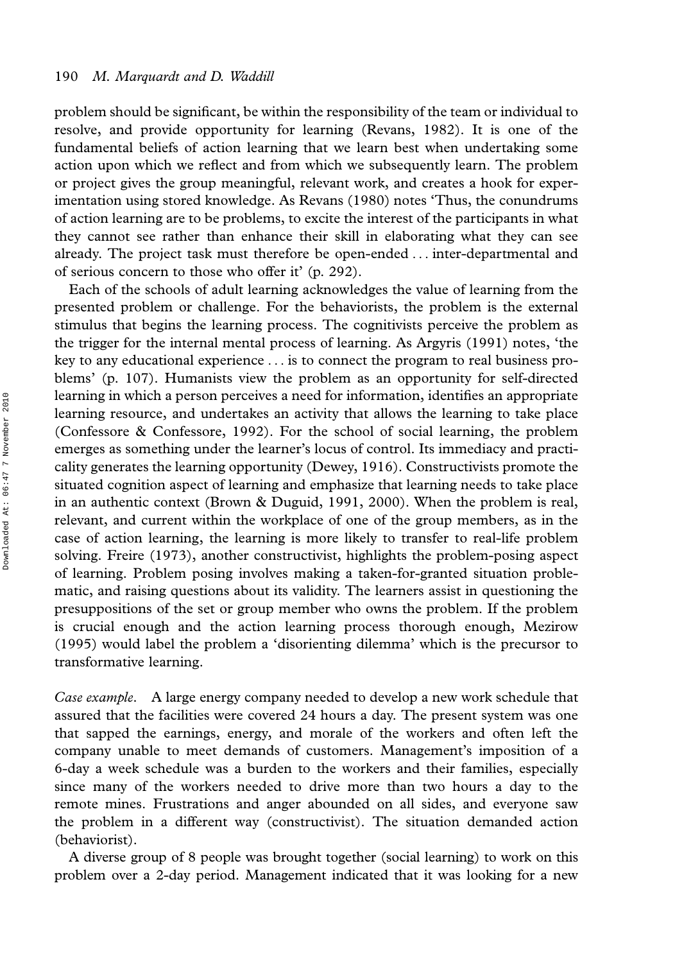#### 190 M. Marquardt and D. Waddill

problem should be significant, be within the responsibility of the team or individual to resolve, and provide opportunity for learning (Revans, 1982). It is one of the fundamental beliefs of action learning that we learn best when undertaking some action upon which we reflect and from which we subsequently learn. The problem or project gives the group meaningful, relevant work, and creates a hook for experimentation using stored knowledge. As Revans (1980) notes 'Thus, the conundrums of action learning are to be problems, to excite the interest of the participants in what they cannot see rather than enhance their skill in elaborating what they can see already. The project task must therefore be open-ended ... inter-departmental and of serious concern to those who offer it' (p. 292).

Each of the schools of adult learning acknowledges the value of learning from the presented problem or challenge. For the behaviorists, the problem is the external stimulus that begins the learning process. The cognitivists perceive the problem as the trigger for the internal mental process of learning. As Argyris (1991) notes, 'the key to any educational experience ... is to connect the program to real business problems' (p. 107). Humanists view the problem as an opportunity for self-directed learning in which a person perceives a need for information, identifies an appropriate learning resource, and undertakes an activity that allows the learning to take place (Confessore & Confessore, 1992). For the school of social learning, the problem emerges as something under the learner's locus of control. Its immediacy and practicality generates the learning opportunity (Dewey, 1916). Constructivists promote the situated cognition aspect of learning and emphasize that learning needs to take place in an authentic context (Brown & Duguid, 1991, 2000). When the problem is real, relevant, and current within the workplace of one of the group members, as in the case of action learning, the learning is more likely to transfer to real-life problem solving. Freire (1973), another constructivist, highlights the problem-posing aspect of learning. Problem posing involves making a taken-for-granted situation problematic, and raising questions about its validity. The learners assist in questioning the presuppositions of the set or group member who owns the problem. If the problem is crucial enough and the action learning process thorough enough, Mezirow (1995) would label the problem a 'disorienting dilemma' which is the precursor to transformative learning.

Case example. A large energy company needed to develop a new work schedule that assured that the facilities were covered 24 hours a day. The present system was one that sapped the earnings, energy, and morale of the workers and often left the company unable to meet demands of customers. Management's imposition of a 6-day a week schedule was a burden to the workers and their families, especially since many of the workers needed to drive more than two hours a day to the remote mines. Frustrations and anger abounded on all sides, and everyone saw the problem in a different way (constructivist). The situation demanded action (behaviorist).

A diverse group of 8 people was brought together (social learning) to work on this problem over a 2-day period. Management indicated that it was looking for a new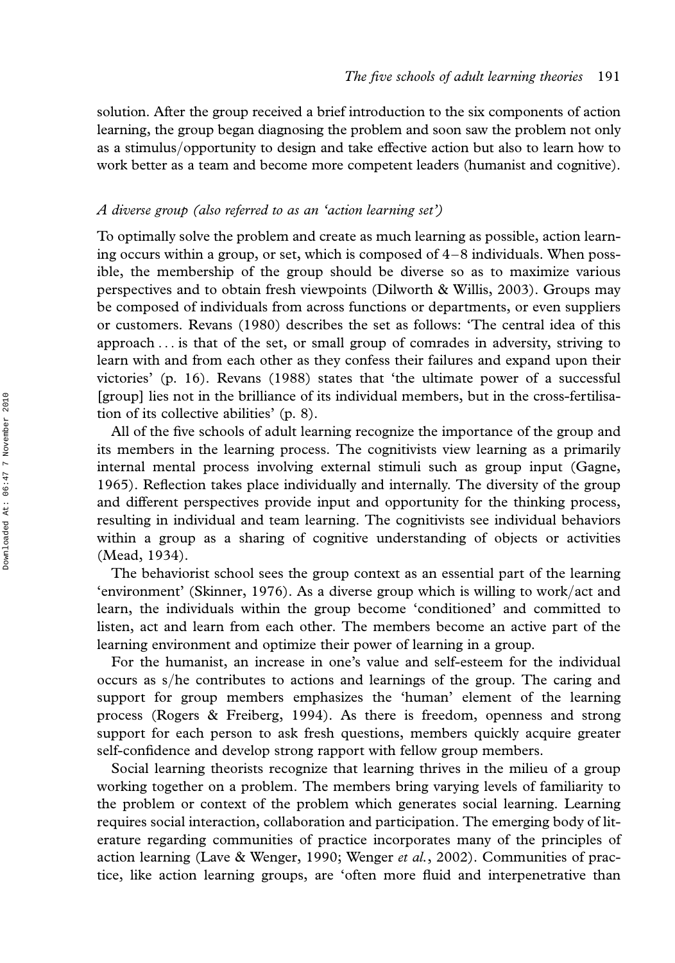solution. After the group received a brief introduction to the six components of action learning, the group began diagnosing the problem and soon saw the problem not only as a stimulus/opportunity to design and take effective action but also to learn how to work better as a team and become more competent leaders (humanist and cognitive).

#### A diverse group (also referred to as an 'action learning set')

To optimally solve the problem and create as much learning as possible, action learning occurs within a group, or set, which is composed of 4–8 individuals. When possible, the membership of the group should be diverse so as to maximize various perspectives and to obtain fresh viewpoints (Dilworth & Willis, 2003). Groups may be composed of individuals from across functions or departments, or even suppliers or customers. Revans (1980) describes the set as follows: 'The central idea of this approach ... is that of the set, or small group of comrades in adversity, striving to learn with and from each other as they confess their failures and expand upon their victories' (p. 16). Revans (1988) states that 'the ultimate power of a successful [group] lies not in the brilliance of its individual members, but in the cross-fertilisation of its collective abilities' (p. 8).

All of the five schools of adult learning recognize the importance of the group and its members in the learning process. The cognitivists view learning as a primarily internal mental process involving external stimuli such as group input (Gagne, 1965). Reflection takes place individually and internally. The diversity of the group and different perspectives provide input and opportunity for the thinking process, resulting in individual and team learning. The cognitivists see individual behaviors within a group as a sharing of cognitive understanding of objects or activities (Mead, 1934).

The behaviorist school sees the group context as an essential part of the learning 'environment' (Skinner, 1976). As a diverse group which is willing to work/act and learn, the individuals within the group become 'conditioned' and committed to listen, act and learn from each other. The members become an active part of the learning environment and optimize their power of learning in a group.

For the humanist, an increase in one's value and self-esteem for the individual occurs as s/he contributes to actions and learnings of the group. The caring and support for group members emphasizes the 'human' element of the learning process (Rogers & Freiberg, 1994). As there is freedom, openness and strong support for each person to ask fresh questions, members quickly acquire greater self-confidence and develop strong rapport with fellow group members.

Social learning theorists recognize that learning thrives in the milieu of a group working together on a problem. The members bring varying levels of familiarity to the problem or context of the problem which generates social learning. Learning requires social interaction, collaboration and participation. The emerging body of literature regarding communities of practice incorporates many of the principles of action learning (Lave & Wenger, 1990; Wenger et al., 2002). Communities of practice, like action learning groups, are 'often more fluid and interpenetrative than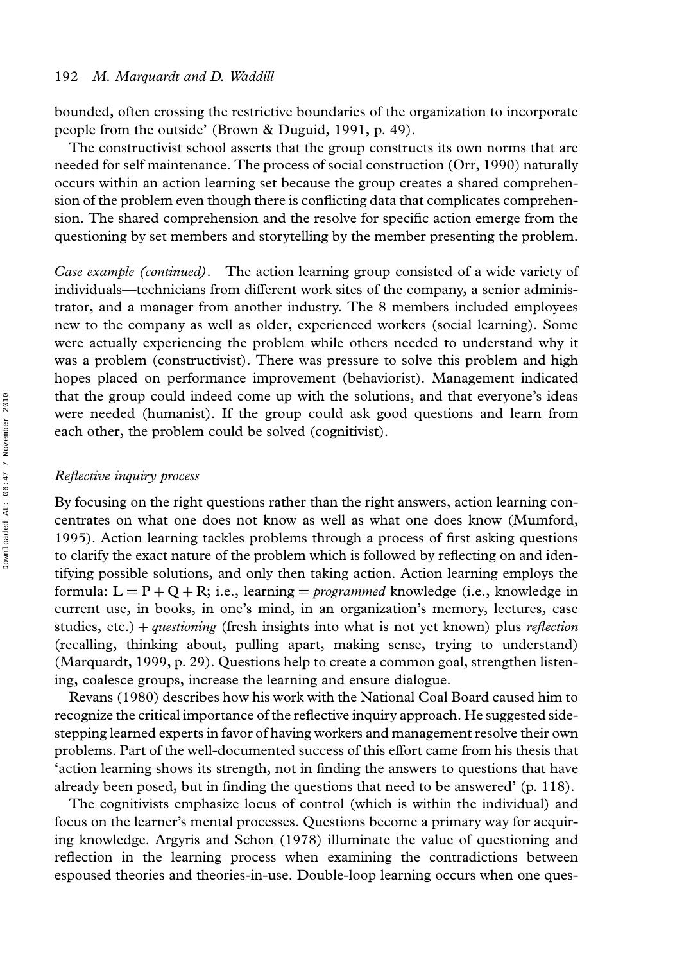#### 192 M. Marquardt and D. Waddill

bounded, often crossing the restrictive boundaries of the organization to incorporate people from the outside' (Brown & Duguid, 1991, p. 49).

The constructivist school asserts that the group constructs its own norms that are needed for self maintenance. The process of social construction (Orr, 1990) naturally occurs within an action learning set because the group creates a shared comprehension of the problem even though there is conflicting data that complicates comprehension. The shared comprehension and the resolve for specific action emerge from the questioning by set members and storytelling by the member presenting the problem.

Case example (continued). The action learning group consisted of a wide variety of individuals—technicians from different work sites of the company, a senior administrator, and a manager from another industry. The 8 members included employees new to the company as well as older, experienced workers (social learning). Some were actually experiencing the problem while others needed to understand why it was a problem (constructivist). There was pressure to solve this problem and high hopes placed on performance improvement (behaviorist). Management indicated that the group could indeed come up with the solutions, and that everyone's ideas were needed (humanist). If the group could ask good questions and learn from each other, the problem could be solved (cognitivist).

#### Reflective inquiry process

By focusing on the right questions rather than the right answers, action learning concentrates on what one does not know as well as what one does know (Mumford, 1995). Action learning tackles problems through a process of first asking questions to clarify the exact nature of the problem which is followed by reflecting on and identifying possible solutions, and only then taking action. Action learning employs the formula:  $L = P + Q + R$ ; i.e., learning = *programmed* knowledge (i.e., knowledge in current use, in books, in one's mind, in an organization's memory, lectures, case studies, etc.)  $\frac{1}{1}$  questioning (fresh insights into what is not yet known) plus *reflection* (recalling, thinking about, pulling apart, making sense, trying to understand) (Marquardt, 1999, p. 29). Questions help to create a common goal, strengthen listening, coalesce groups, increase the learning and ensure dialogue.

Revans (1980) describes how his work with the National Coal Board caused him to recognize the critical importance of the reflective inquiry approach. He suggested sidestepping learned experts in favor of having workers and management resolve their own problems. Part of the well-documented success of this effort came from his thesis that 'action learning shows its strength, not in finding the answers to questions that have already been posed, but in finding the questions that need to be answered' (p. 118).

The cognitivists emphasize locus of control (which is within the individual) and focus on the learner's mental processes. Questions become a primary way for acquiring knowledge. Argyris and Schon (1978) illuminate the value of questioning and reflection in the learning process when examining the contradictions between espoused theories and theories-in-use. Double-loop learning occurs when one ques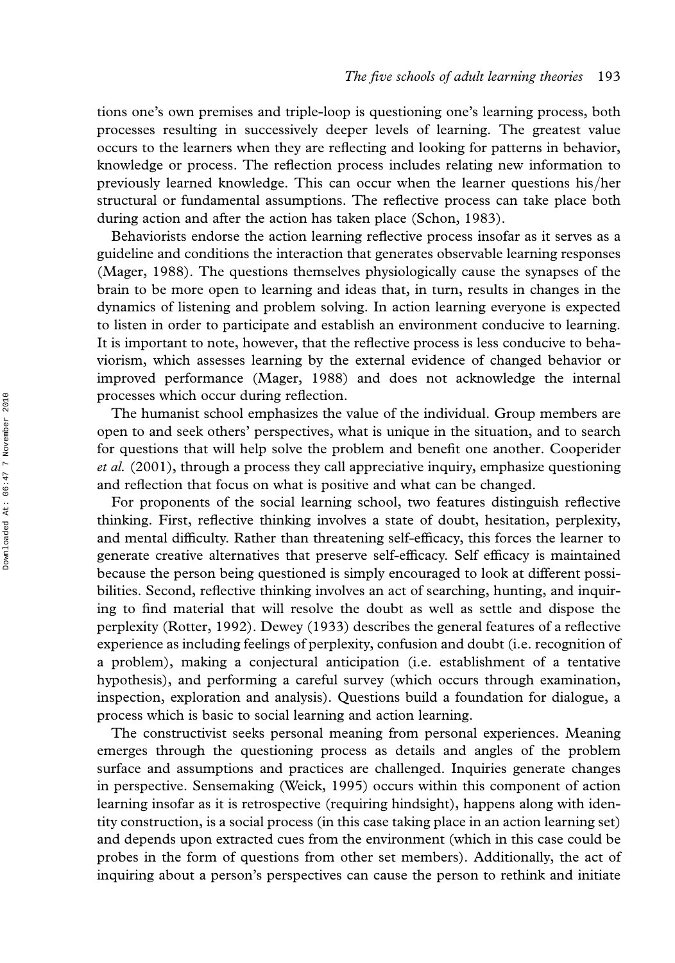tions one's own premises and triple-loop is questioning one's learning process, both processes resulting in successively deeper levels of learning. The greatest value occurs to the learners when they are reflecting and looking for patterns in behavior, knowledge or process. The reflection process includes relating new information to previously learned knowledge. This can occur when the learner questions his/her structural or fundamental assumptions. The reflective process can take place both during action and after the action has taken place (Schon, 1983).

Behaviorists endorse the action learning reflective process insofar as it serves as a guideline and conditions the interaction that generates observable learning responses (Mager, 1988). The questions themselves physiologically cause the synapses of the brain to be more open to learning and ideas that, in turn, results in changes in the dynamics of listening and problem solving. In action learning everyone is expected to listen in order to participate and establish an environment conducive to learning. It is important to note, however, that the reflective process is less conducive to behaviorism, which assesses learning by the external evidence of changed behavior or improved performance (Mager, 1988) and does not acknowledge the internal processes which occur during reflection.

The humanist school emphasizes the value of the individual. Group members are open to and seek others' perspectives, what is unique in the situation, and to search for questions that will help solve the problem and benefit one another. Cooperider et al. (2001), through a process they call appreciative inquiry, emphasize questioning and reflection that focus on what is positive and what can be changed.

For proponents of the social learning school, two features distinguish reflective thinking. First, reflective thinking involves a state of doubt, hesitation, perplexity, and mental difficulty. Rather than threatening self-efficacy, this forces the learner to generate creative alternatives that preserve self-efficacy. Self efficacy is maintained because the person being questioned is simply encouraged to look at different possibilities. Second, reflective thinking involves an act of searching, hunting, and inquiring to find material that will resolve the doubt as well as settle and dispose the perplexity (Rotter, 1992). Dewey (1933) describes the general features of a reflective experience as including feelings of perplexity, confusion and doubt (i.e. recognition of a problem), making a conjectural anticipation (i.e. establishment of a tentative hypothesis), and performing a careful survey (which occurs through examination, inspection, exploration and analysis). Questions build a foundation for dialogue, a process which is basic to social learning and action learning.

The constructivist seeks personal meaning from personal experiences. Meaning emerges through the questioning process as details and angles of the problem surface and assumptions and practices are challenged. Inquiries generate changes in perspective. Sensemaking (Weick, 1995) occurs within this component of action learning insofar as it is retrospective (requiring hindsight), happens along with identity construction, is a social process (in this case taking place in an action learning set) and depends upon extracted cues from the environment (which in this case could be probes in the form of questions from other set members). Additionally, the act of inquiring about a person's perspectives can cause the person to rethink and initiate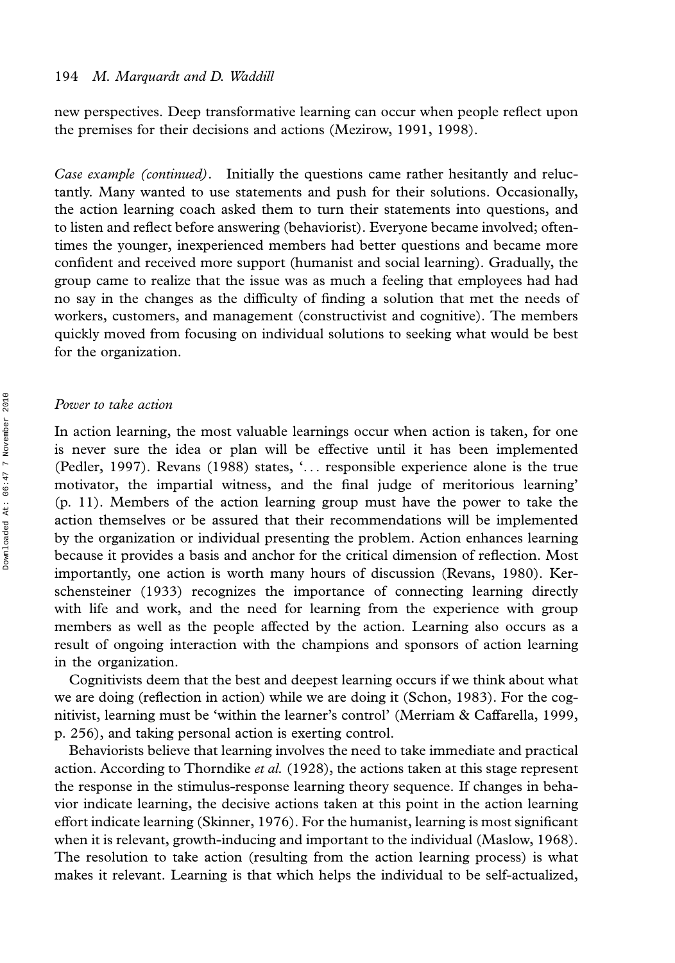new perspectives. Deep transformative learning can occur when people reflect upon the premises for their decisions and actions (Mezirow, 1991, 1998).

Case example (continued). Initially the questions came rather hesitantly and reluctantly. Many wanted to use statements and push for their solutions. Occasionally, the action learning coach asked them to turn their statements into questions, and to listen and reflect before answering (behaviorist). Everyone became involved; oftentimes the younger, inexperienced members had better questions and became more confident and received more support (humanist and social learning). Gradually, the group came to realize that the issue was as much a feeling that employees had had no say in the changes as the difficulty of finding a solution that met the needs of workers, customers, and management (constructivist and cognitive). The members quickly moved from focusing on individual solutions to seeking what would be best for the organization.

#### Power to take action

In action learning, the most valuable learnings occur when action is taken, for one is never sure the idea or plan will be effective until it has been implemented (Pedler, 1997). Revans (1988) states, '... responsible experience alone is the true motivator, the impartial witness, and the final judge of meritorious learning' (p. 11). Members of the action learning group must have the power to take the action themselves or be assured that their recommendations will be implemented by the organization or individual presenting the problem. Action enhances learning because it provides a basis and anchor for the critical dimension of reflection. Most importantly, one action is worth many hours of discussion (Revans, 1980). Kerschensteiner (1933) recognizes the importance of connecting learning directly with life and work, and the need for learning from the experience with group members as well as the people affected by the action. Learning also occurs as a result of ongoing interaction with the champions and sponsors of action learning in the organization.

Cognitivists deem that the best and deepest learning occurs if we think about what we are doing (reflection in action) while we are doing it (Schon, 1983). For the cognitivist, learning must be 'within the learner's control' (Merriam & Caffarella, 1999, p. 256), and taking personal action is exerting control.

Behaviorists believe that learning involves the need to take immediate and practical action. According to Thorndike *et al.* (1928), the actions taken at this stage represent the response in the stimulus-response learning theory sequence. If changes in behavior indicate learning, the decisive actions taken at this point in the action learning effort indicate learning (Skinner, 1976). For the humanist, learning is most significant when it is relevant, growth-inducing and important to the individual (Maslow, 1968). The resolution to take action (resulting from the action learning process) is what makes it relevant. Learning is that which helps the individual to be self-actualized,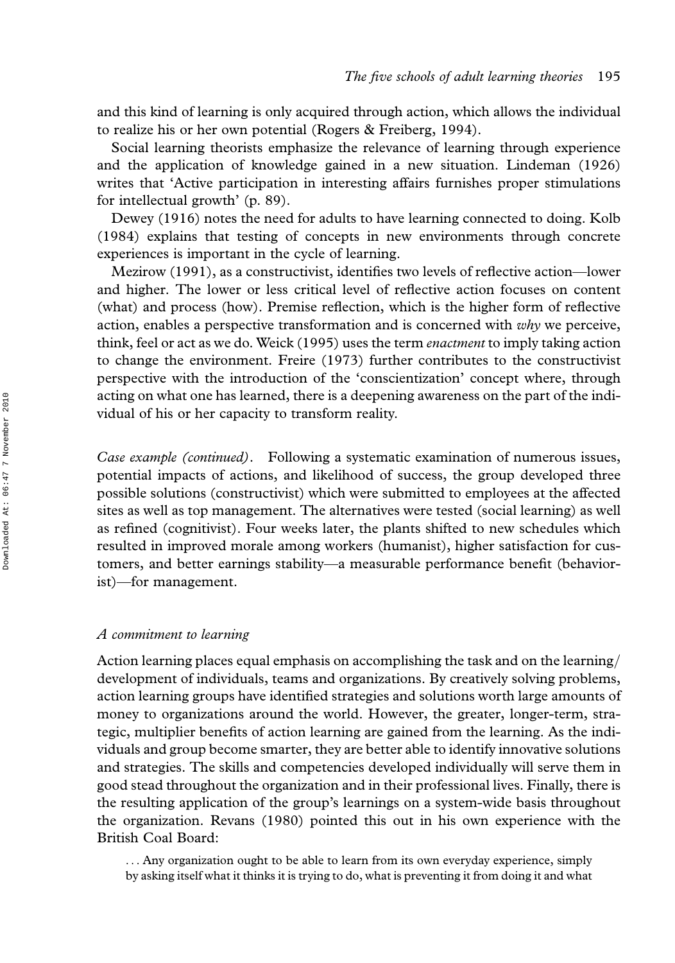and this kind of learning is only acquired through action, which allows the individual to realize his or her own potential (Rogers & Freiberg, 1994).

Social learning theorists emphasize the relevance of learning through experience and the application of knowledge gained in a new situation. Lindeman (1926) writes that 'Active participation in interesting affairs furnishes proper stimulations for intellectual growth' (p. 89).

Dewey (1916) notes the need for adults to have learning connected to doing. Kolb (1984) explains that testing of concepts in new environments through concrete experiences is important in the cycle of learning.

Mezirow (1991), as a constructivist, identifies two levels of reflective action—lower and higher. The lower or less critical level of reflective action focuses on content (what) and process (how). Premise reflection, which is the higher form of reflective action, enables a perspective transformation and is concerned with  $whv$  we perceive, think, feel or act as we do. Weick (1995) uses the term *enactment* to imply taking action to change the environment. Freire (1973) further contributes to the constructivist perspective with the introduction of the 'conscientization' concept where, through acting on what one has learned, there is a deepening awareness on the part of the individual of his or her capacity to transform reality.

Case example (continued). Following a systematic examination of numerous issues, potential impacts of actions, and likelihood of success, the group developed three possible solutions (constructivist) which were submitted to employees at the affected sites as well as top management. The alternatives were tested (social learning) as well as refined (cognitivist). Four weeks later, the plants shifted to new schedules which resulted in improved morale among workers (humanist), higher satisfaction for customers, and better earnings stability—a measurable performance benefit (behaviorist)—for management.

#### A commitment to learning

Action learning places equal emphasis on accomplishing the task and on the learning/ development of individuals, teams and organizations. By creatively solving problems, action learning groups have identified strategies and solutions worth large amounts of money to organizations around the world. However, the greater, longer-term, strategic, multiplier benefits of action learning are gained from the learning. As the individuals and group become smarter, they are better able to identify innovative solutions and strategies. The skills and competencies developed individually will serve them in good stead throughout the organization and in their professional lives. Finally, there is the resulting application of the group's learnings on a system-wide basis throughout the organization. Revans (1980) pointed this out in his own experience with the British Coal Board:

... Any organization ought to be able to learn from its own everyday experience, simply by asking itself what it thinks it is trying to do, what is preventing it from doing it and what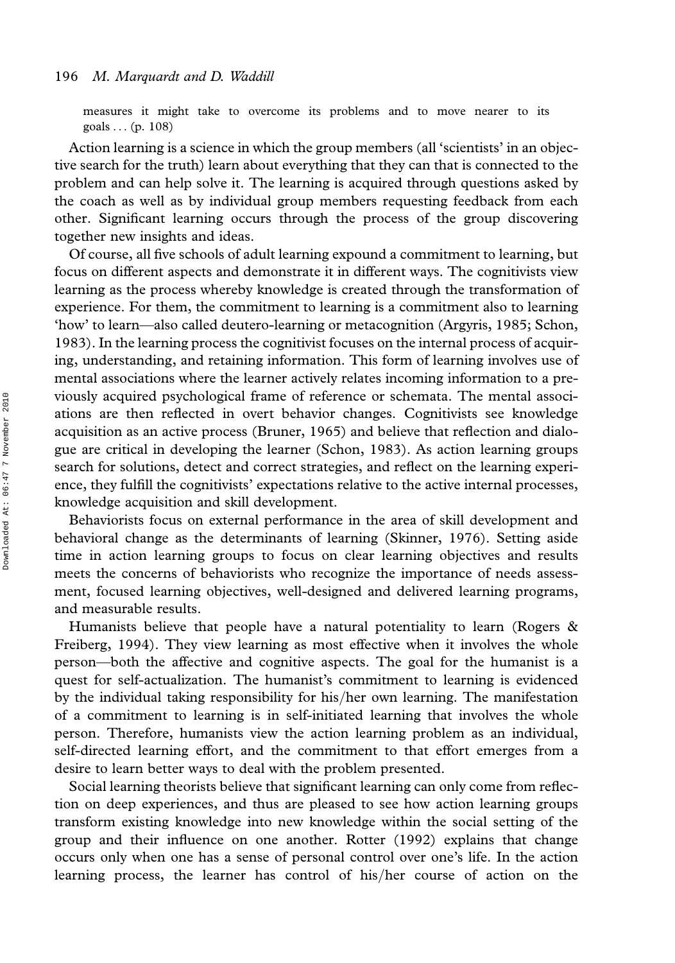measures it might take to overcome its problems and to move nearer to its goals ... (p. 108)

Action learning is a science in which the group members (all 'scientists' in an objective search for the truth) learn about everything that they can that is connected to the problem and can help solve it. The learning is acquired through questions asked by the coach as well as by individual group members requesting feedback from each other. Significant learning occurs through the process of the group discovering together new insights and ideas.

Of course, all five schools of adult learning expound a commitment to learning, but focus on different aspects and demonstrate it in different ways. The cognitivists view learning as the process whereby knowledge is created through the transformation of experience. For them, the commitment to learning is a commitment also to learning 'how' to learn—also called deutero-learning or metacognition (Argyris, 1985; Schon, 1983). In the learning process the cognitivist focuses on the internal process of acquiring, understanding, and retaining information. This form of learning involves use of mental associations where the learner actively relates incoming information to a previously acquired psychological frame of reference or schemata. The mental associations are then reflected in overt behavior changes. Cognitivists see knowledge acquisition as an active process (Bruner, 1965) and believe that reflection and dialogue are critical in developing the learner (Schon, 1983). As action learning groups search for solutions, detect and correct strategies, and reflect on the learning experience, they fulfill the cognitivists' expectations relative to the active internal processes, knowledge acquisition and skill development.

Behaviorists focus on external performance in the area of skill development and behavioral change as the determinants of learning (Skinner, 1976). Setting aside time in action learning groups to focus on clear learning objectives and results meets the concerns of behaviorists who recognize the importance of needs assessment, focused learning objectives, well-designed and delivered learning programs, and measurable results.

Humanists believe that people have a natural potentiality to learn (Rogers & Freiberg, 1994). They view learning as most effective when it involves the whole person—both the affective and cognitive aspects. The goal for the humanist is a quest for self-actualization. The humanist's commitment to learning is evidenced by the individual taking responsibility for his/her own learning. The manifestation of a commitment to learning is in self-initiated learning that involves the whole person. Therefore, humanists view the action learning problem as an individual, self-directed learning effort, and the commitment to that effort emerges from a desire to learn better ways to deal with the problem presented.

Social learning theorists believe that significant learning can only come from reflection on deep experiences, and thus are pleased to see how action learning groups transform existing knowledge into new knowledge within the social setting of the group and their influence on one another. Rotter (1992) explains that change occurs only when one has a sense of personal control over one's life. In the action learning process, the learner has control of his/her course of action on the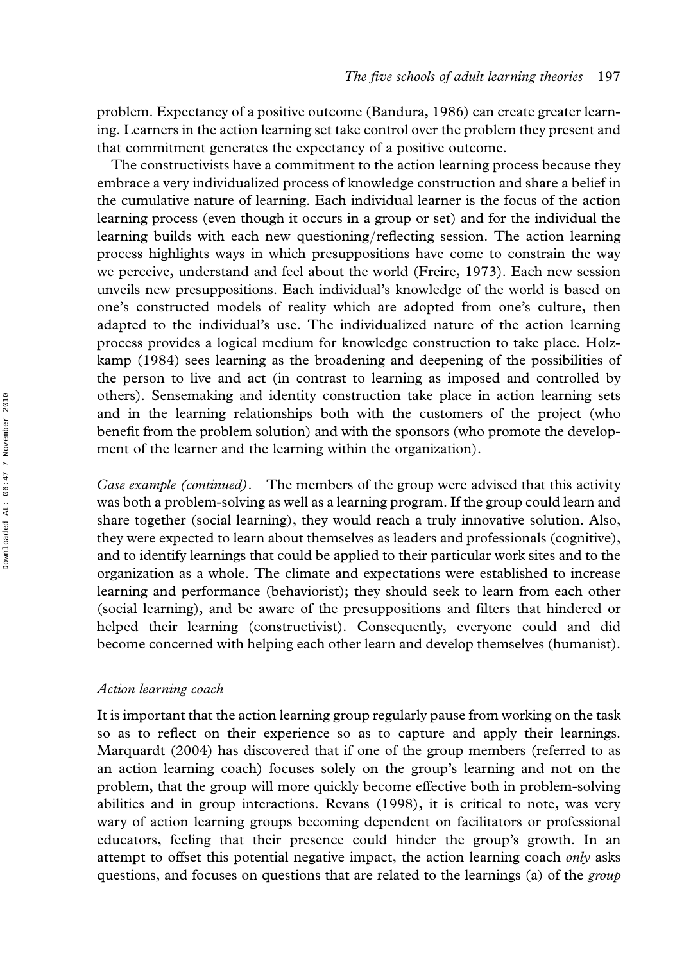problem. Expectancy of a positive outcome (Bandura, 1986) can create greater learning. Learners in the action learning set take control over the problem they present and that commitment generates the expectancy of a positive outcome.

The constructivists have a commitment to the action learning process because they embrace a very individualized process of knowledge construction and share a belief in the cumulative nature of learning. Each individual learner is the focus of the action learning process (even though it occurs in a group or set) and for the individual the learning builds with each new questioning/reflecting session. The action learning process highlights ways in which presuppositions have come to constrain the way we perceive, understand and feel about the world (Freire, 1973). Each new session unveils new presuppositions. Each individual's knowledge of the world is based on one's constructed models of reality which are adopted from one's culture, then adapted to the individual's use. The individualized nature of the action learning process provides a logical medium for knowledge construction to take place. Holzkamp (1984) sees learning as the broadening and deepening of the possibilities of the person to live and act (in contrast to learning as imposed and controlled by others). Sensemaking and identity construction take place in action learning sets and in the learning relationships both with the customers of the project (who benefit from the problem solution) and with the sponsors (who promote the development of the learner and the learning within the organization).

Case example (continued). The members of the group were advised that this activity was both a problem-solving as well as a learning program. If the group could learn and share together (social learning), they would reach a truly innovative solution. Also, they were expected to learn about themselves as leaders and professionals (cognitive), and to identify learnings that could be applied to their particular work sites and to the organization as a whole. The climate and expectations were established to increase learning and performance (behaviorist); they should seek to learn from each other (social learning), and be aware of the presuppositions and filters that hindered or helped their learning (constructivist). Consequently, everyone could and did become concerned with helping each other learn and develop themselves (humanist).

#### Action learning coach

It is important that the action learning group regularly pause from working on the task so as to reflect on their experience so as to capture and apply their learnings. Marquardt (2004) has discovered that if one of the group members (referred to as an action learning coach) focuses solely on the group's learning and not on the problem, that the group will more quickly become effective both in problem-solving abilities and in group interactions. Revans (1998), it is critical to note, was very wary of action learning groups becoming dependent on facilitators or professional educators, feeling that their presence could hinder the group's growth. In an attempt to offset this potential negative impact, the action learning coach *only* asks questions, and focuses on questions that are related to the learnings (a) of the *group*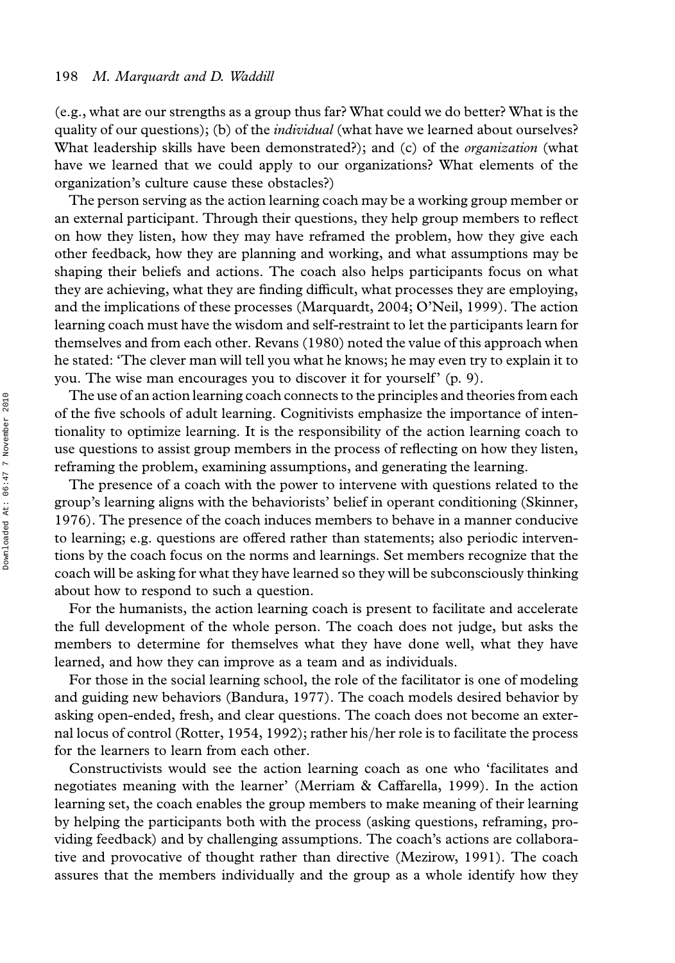(e.g., what are our strengths as a group thus far? What could we do better? What is the quality of our questions); (b) of the *individual* (what have we learned about ourselves? What leadership skills have been demonstrated?); and (c) of the *organization* (what have we learned that we could apply to our organizations? What elements of the organization's culture cause these obstacles?)

The person serving as the action learning coach may be a working group member or an external participant. Through their questions, they help group members to reflect on how they listen, how they may have reframed the problem, how they give each other feedback, how they are planning and working, and what assumptions may be shaping their beliefs and actions. The coach also helps participants focus on what they are achieving, what they are finding difficult, what processes they are employing, and the implications of these processes (Marquardt, 2004; O'Neil, 1999). The action learning coach must have the wisdom and self-restraint to let the participants learn for themselves and from each other. Revans (1980) noted the value of this approach when he stated: 'The clever man will tell you what he knows; he may even try to explain it to you. The wise man encourages you to discover it for yourself' (p. 9).

The use of an action learning coach connects to the principles and theories from each of the five schools of adult learning. Cognitivists emphasize the importance of intentionality to optimize learning. It is the responsibility of the action learning coach to use questions to assist group members in the process of reflecting on how they listen, reframing the problem, examining assumptions, and generating the learning.

The presence of a coach with the power to intervene with questions related to the group's learning aligns with the behaviorists' belief in operant conditioning (Skinner, 1976). The presence of the coach induces members to behave in a manner conducive to learning; e.g. questions are offered rather than statements; also periodic interventions by the coach focus on the norms and learnings. Set members recognize that the coach will be asking for what they have learned so they will be subconsciously thinking about how to respond to such a question.

For the humanists, the action learning coach is present to facilitate and accelerate the full development of the whole person. The coach does not judge, but asks the members to determine for themselves what they have done well, what they have learned, and how they can improve as a team and as individuals.

For those in the social learning school, the role of the facilitator is one of modeling and guiding new behaviors (Bandura, 1977). The coach models desired behavior by asking open-ended, fresh, and clear questions. The coach does not become an external locus of control (Rotter, 1954, 1992); rather his/her role is to facilitate the process for the learners to learn from each other.

Constructivists would see the action learning coach as one who 'facilitates and negotiates meaning with the learner' (Merriam & Caffarella, 1999). In the action learning set, the coach enables the group members to make meaning of their learning by helping the participants both with the process (asking questions, reframing, providing feedback) and by challenging assumptions. The coach's actions are collaborative and provocative of thought rather than directive (Mezirow, 1991). The coach assures that the members individually and the group as a whole identify how they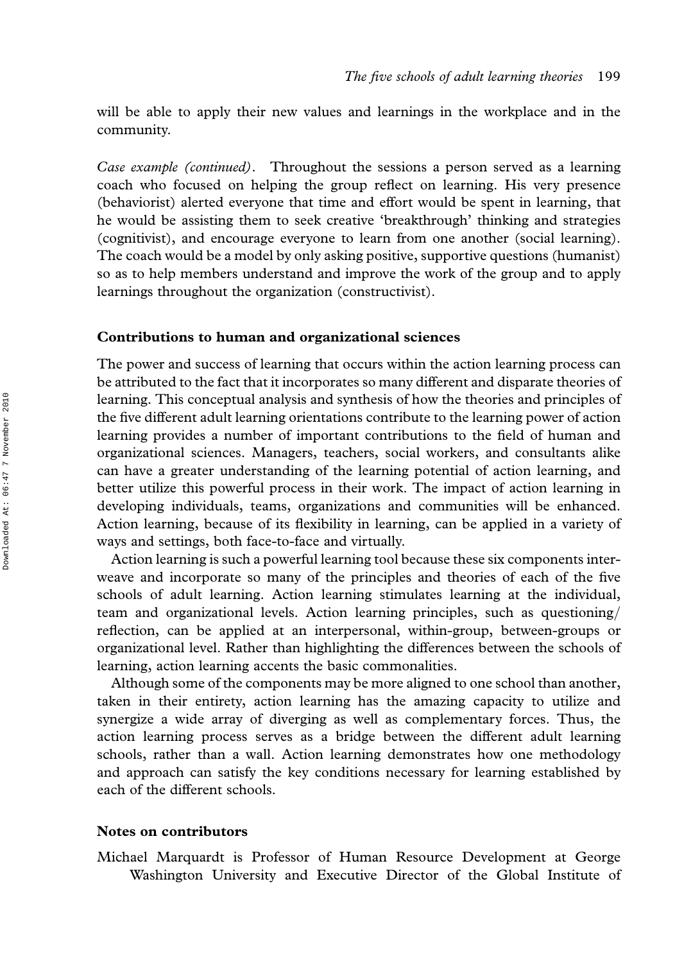will be able to apply their new values and learnings in the workplace and in the community.

Case example (continued). Throughout the sessions a person served as a learning coach who focused on helping the group reflect on learning. His very presence (behaviorist) alerted everyone that time and effort would be spent in learning, that he would be assisting them to seek creative 'breakthrough' thinking and strategies (cognitivist), and encourage everyone to learn from one another (social learning). The coach would be a model by only asking positive, supportive questions (humanist) so as to help members understand and improve the work of the group and to apply learnings throughout the organization (constructivist).

#### Contributions to human and organizational sciences

The power and success of learning that occurs within the action learning process can be attributed to the fact that it incorporates so many different and disparate theories of learning. This conceptual analysis and synthesis of how the theories and principles of the five different adult learning orientations contribute to the learning power of action learning provides a number of important contributions to the field of human and organizational sciences. Managers, teachers, social workers, and consultants alike can have a greater understanding of the learning potential of action learning, and better utilize this powerful process in their work. The impact of action learning in developing individuals, teams, organizations and communities will be enhanced. Action learning, because of its flexibility in learning, can be applied in a variety of ways and settings, both face-to-face and virtually.

Action learning is such a powerful learning tool because these six components interweave and incorporate so many of the principles and theories of each of the five schools of adult learning. Action learning stimulates learning at the individual, team and organizational levels. Action learning principles, such as questioning/ reflection, can be applied at an interpersonal, within-group, between-groups or organizational level. Rather than highlighting the differences between the schools of learning, action learning accents the basic commonalities.

Although some of the components may be more aligned to one school than another, taken in their entirety, action learning has the amazing capacity to utilize and synergize a wide array of diverging as well as complementary forces. Thus, the action learning process serves as a bridge between the different adult learning schools, rather than a wall. Action learning demonstrates how one methodology and approach can satisfy the key conditions necessary for learning established by each of the different schools.

#### Notes on contributors

Michael Marquardt is Professor of Human Resource Development at George Washington University and Executive Director of the Global Institute of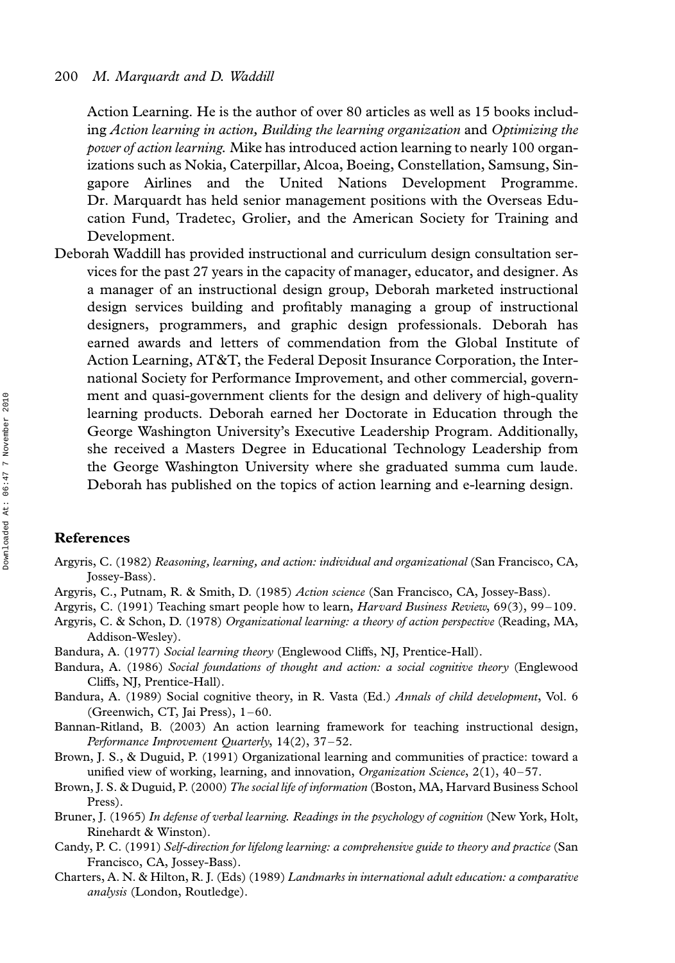Action Learning. He is the author of over 80 articles as well as 15 books including Action learning in action, Building the learning organization and Optimizing the power of action learning. Mike has introduced action learning to nearly 100 organizations such as Nokia, Caterpillar, Alcoa, Boeing, Constellation, Samsung, Singapore Airlines and the United Nations Development Programme. Dr. Marquardt has held senior management positions with the Overseas Education Fund, Tradetec, Grolier, and the American Society for Training and Development.

Deborah Waddill has provided instructional and curriculum design consultation services for the past 27 years in the capacity of manager, educator, and designer. As a manager of an instructional design group, Deborah marketed instructional design services building and profitably managing a group of instructional designers, programmers, and graphic design professionals. Deborah has earned awards and letters of commendation from the Global Institute of Action Learning, AT&T, the Federal Deposit Insurance Corporation, the International Society for Performance Improvement, and other commercial, government and quasi-government clients for the design and delivery of high-quality learning products. Deborah earned her Doctorate in Education through the George Washington University's Executive Leadership Program. Additionally, she received a Masters Degree in Educational Technology Leadership from the George Washington University where she graduated summa cum laude. Deborah has published on the topics of action learning and e-learning design.

#### References

- Argyris, C. (1982) Reasoning, learning, and action: individual and organizational (San Francisco, CA, Jossey-Bass).
- Argyris, C., Putnam, R. & Smith, D. (1985) Action science (San Francisco, CA, Jossey-Bass).
- Argyris, C. (1991) Teaching smart people how to learn, Harvard Business Review, 69(3), 99-109.
- Argyris, C. & Schon, D. (1978) Organizational learning: a theory of action perspective (Reading, MA, Addison-Wesley).
- Bandura, A. (1977) Social learning theory (Englewood Cliffs, NJ, Prentice-Hall).
- Bandura, A. (1986) Social foundations of thought and action: a social cognitive theory (Englewood Cliffs, NJ, Prentice-Hall).
- Bandura, A. (1989) Social cognitive theory, in R. Vasta (Ed.) Annals of child development, Vol. 6 (Greenwich, CT, Jai Press), 1–60.

Bannan-Ritland, B. (2003) An action learning framework for teaching instructional design, Performance Improvement Quarterly, 14(2), 37-52.

- Brown, J. S., & Duguid, P. (1991) Organizational learning and communities of practice: toward a unified view of working, learning, and innovation, *Organization Science*, 2(1), 40–57.
- Brown, J. S. & Duguid, P. (2000) The social life of information (Boston, MA, Harvard Business School Press).
- Bruner, J. (1965) In defense of verbal learning. Readings in the psychology of cognition (New York, Holt, Rinehardt & Winston).
- Candy, P. C. (1991) Self-direction for lifelong learning: a comprehensive guide to theory and practice (San Francisco, CA, Jossey-Bass).
- Charters, A. N. & Hilton, R. J. (Eds) (1989) Landmarks in international adult education: a comparative analysis (London, Routledge).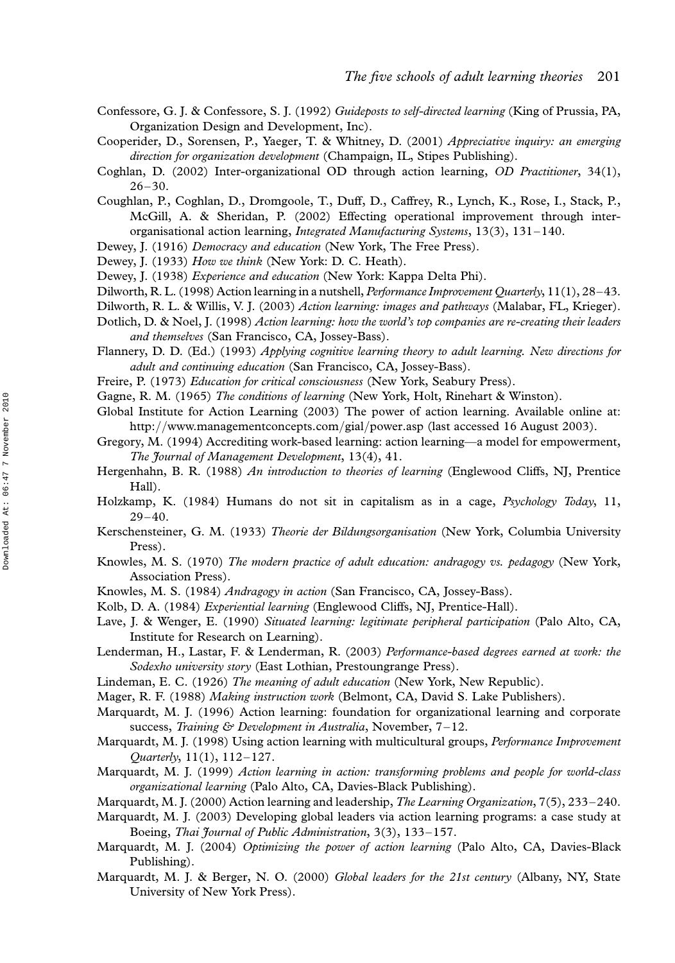- Confessore, G. J. & Confessore, S. J. (1992) Guideposts to self-directed learning (King of Prussia, PA, Organization Design and Development, Inc).
- Cooperider, D., Sorensen, P., Yaeger, T. & Whitney, D. (2001) Appreciative inquiry: an emerging direction for organization development (Champaign, IL, Stipes Publishing).
- Coghlan, D. (2002) Inter-organizational OD through action learning, OD Practitioner, 34(1),  $26 - 30.$
- Coughlan, P., Coghlan, D., Dromgoole, T., Duff, D., Caffrey, R., Lynch, K., Rose, I., Stack, P., McGill, A. & Sheridan, P. (2002) Effecting operational improvement through interorganisational action learning, Integrated Manufacturing Systems, 13(3), 131-140.
- Dewey, J. (1916) Democracy and education (New York, The Free Press).
- Dewey, J. (1933) How we think (New York: D. C. Heath).
- Dewey, J. (1938) Experience and education (New York: Kappa Delta Phi).
- Dilworth, R. L. (1998) Action learning in a nutshell, Performance Improvement Quarterly, 11(1), 28–43.
- Dilworth, R. L. & Willis, V. J. (2003) Action learning: images and pathways (Malabar, FL, Krieger).
- Dotlich, D. & Noel, J. (1998) Action learning: how the world's top companies are re-creating their leaders and themselves (San Francisco, CA, Jossey-Bass).
- Flannery, D. D. (Ed.) (1993) Applying cognitive learning theory to adult learning. New directions for adult and continuing education (San Francisco, CA, Jossey-Bass).
- Freire, P. (1973) Education for critical consciousness (New York, Seabury Press).
- Gagne, R. M. (1965) The conditions of learning (New York, Holt, Rinehart & Winston).
- Global Institute for Action Learning (2003) The power of action learning. Available online at: http://www.managementconcepts.com/gial/power.asp (last accessed 16 August 2003).
- Gregory, M. (1994) Accrediting work-based learning: action learning—a model for empowerment, The Journal of Management Development, 13(4), 41.
- Hergenhahn, B. R. (1988) An introduction to theories of learning (Englewood Cliffs, NJ, Prentice Hall).
- Holzkamp, K. (1984) Humans do not sit in capitalism as in a cage, Psychology Today, 11, 29–40.
- Kerschensteiner, G. M. (1933) Theorie der Bildungsorganisation (New York, Columbia University Press).
- Knowles, M. S. (1970) The modern practice of adult education: andragogy vs. pedagogy (New York, Association Press).
- Knowles, M. S. (1984) Andragogy in action (San Francisco, CA, Jossey-Bass).
- Kolb, D. A. (1984) Experiential learning (Englewood Cliffs, NJ, Prentice-Hall).
- Lave, J. & Wenger, E. (1990) Situated learning: legitimate peripheral participation (Palo Alto, CA, Institute for Research on Learning).
- Lenderman, H., Lastar, F. & Lenderman, R. (2003) Performance-based degrees earned at work: the Sodexho university story (East Lothian, Prestoungrange Press).
- Lindeman, E. C. (1926) The meaning of adult education (New York, New Republic).
- Mager, R. F. (1988) Making instruction work (Belmont, CA, David S. Lake Publishers).
- Marquardt, M. J. (1996) Action learning: foundation for organizational learning and corporate success, Training & Development in Australia, November,  $7-12$ .
- Marquardt, M. J. (1998) Using action learning with multicultural groups, Performance Improvement Ouarterly, 11(1), 112-127.
- Marquardt, M. J. (1999) Action learning in action: transforming problems and people for world-class organizational learning (Palo Alto, CA, Davies-Black Publishing).
- Marquardt, M. J. (2000) Action learning and leadership, *The Learning Organization*, 7(5), 233–240.
- Marquardt, M. J. (2003) Developing global leaders via action learning programs: a case study at Boeing, Thai Journal of Public Administration, 3(3), 133-157.
- Marquardt, M. J. (2004) Optimizing the power of action learning (Palo Alto, CA, Davies-Black Publishing).
- Marquardt, M. J. & Berger, N. O. (2000) Global leaders for the 21st century (Albany, NY, State University of New York Press).